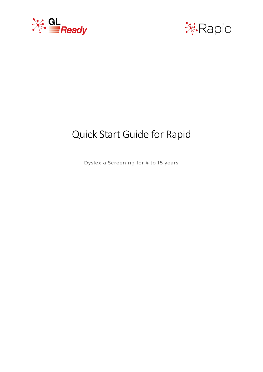



# Quick Start Guide for Rapid

Dyslexia Screening for 4 to 15 years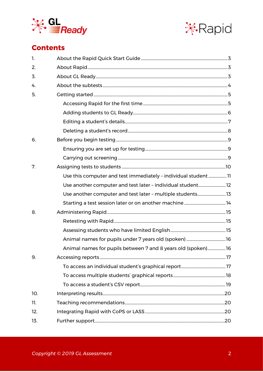



## **Contents**

| $\mathbf{1}$ . |                                                                 |  |
|----------------|-----------------------------------------------------------------|--|
| 2.             |                                                                 |  |
| 3.             |                                                                 |  |
| 4.             |                                                                 |  |
| 5.             |                                                                 |  |
|                |                                                                 |  |
|                |                                                                 |  |
|                |                                                                 |  |
|                |                                                                 |  |
| 6.             |                                                                 |  |
|                |                                                                 |  |
|                |                                                                 |  |
| 7.             |                                                                 |  |
|                | Use this computer and test immediately - individual student  11 |  |
|                | Use another computer and test later - individual student 12     |  |
|                | Use another computer and test later - multiple students 13      |  |
|                |                                                                 |  |
| 8.             |                                                                 |  |
|                |                                                                 |  |
|                |                                                                 |  |
|                |                                                                 |  |
|                | Animal names for pupils between 7 and 8 years old (spoken)16    |  |
| 9.             |                                                                 |  |
|                |                                                                 |  |
|                |                                                                 |  |
|                |                                                                 |  |
| 10.            |                                                                 |  |
| 11.            |                                                                 |  |
| 12.            |                                                                 |  |
| 13.            |                                                                 |  |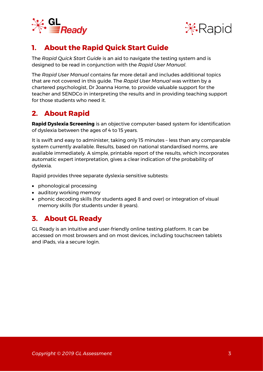



## <span id="page-2-0"></span>**1. About the Rapid Quick Start Guide**

The *Rapid Quick Start Guide* is an aid to navigate the testing system and is designed to be read in conjunction with the *Rapid User Manual*.

The *Rapid User Manual* contains far more detail and includes additional topics that are not covered in this guide. The *Rapid User Manual* was written by a chartered psychologist, Dr Joanna Horne, to provide valuable support for the teacher and SENDCo in interpreting the results and in providing teaching support for those students who need it.

## <span id="page-2-1"></span>**2. About Rapid**

**Rapid Dyslexia Screening** is an objective computer-based system for identification of dyslexia between the ages of 4 to 15 years.

It is swift and easy to administer, taking only 15 minutes – less than any comparable system currently available. Results, based on national standardised norms, are available immediately. A simple, printable report of the results, which incorporates automatic expert interpretation, gives a clear indication of the probability of dyslexia.

Rapid provides three separate dyslexia-sensitive subtests:

- phonological processing
- auditory working memory
- phonic decoding skills (for students aged 8 and over) or integration of visual memory skills (for students under 8 years).

## <span id="page-2-2"></span>**3. About GL Ready**

GL Ready is an intuitive and user-friendly online testing platform. It can be accessed on most browsers and on most devices, including touchscreen tablets and iPads, via a secure login.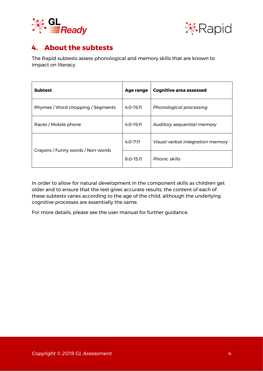



## <span id="page-3-0"></span>**4. About the subtests**

The Rapid subtests assess phonological and memory skills that are known to impact on literacy.

| <b>Subtest</b>                    | Age range     | <b>Cognitive area assessed</b>   |
|-----------------------------------|---------------|----------------------------------|
| Rhymes / Word chopping / Segments | $4:0-15:11$   | <b>Phonological processing</b>   |
| Races / Mobile phone              | $4:0-15:11$   | Auditory sequential memory       |
|                                   | $4:0 - 7:11$  | Visual-verbal integration memory |
| Crayons / Funny words / Non-words | $8:0 - 15:11$ | <b>Phonic skills</b>             |

In order to allow for natural development in the component skills as children get older and to ensure that the test gives accurate results, the content of each of these subtests varies according to the age of the child, although the underlying cognitive processes are essentially the same.

For more details, please see the user manual for further guidance.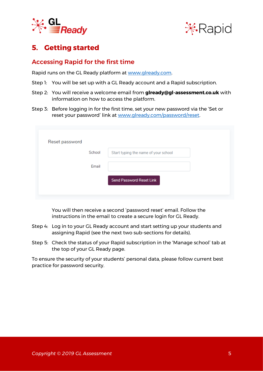



## <span id="page-4-0"></span>**5. Getting started**

#### <span id="page-4-1"></span>Accessing Rapid for the first time

Rapid runs on the GL Ready platform at [www.glready.com.](http://www.glready.com/)

- Step 1: You will be set up with a GL Ready account and a Rapid subscription.
- Step 2: You will receive a welcome email from **glready@gl-assessment.co.uk** with information on how to access the platform.
- Step 3: Before logging in for the first time, set your new password via the 'Set or reset your password' link at [www.glready.com/password/reset.](http://www.glready.com/password/reset)

| Reset password |        |                                      |
|----------------|--------|--------------------------------------|
|                | School | Start typing the name of your school |
|                | Email  |                                      |
|                |        | <b>Send Password Reset Link</b>      |
|                |        |                                      |

You will then receive a second 'password reset' email. Follow the instructions in the email to create a secure login for GL Ready.

- Step 4: Log in to your GL Ready account and start setting up your students and assigning Rapid (see the next two sub-sections for details).
- Step 5: Check the status of your Rapid subscription in the 'Manage school' tab at the top of your GL Ready page.

To ensure the security of your students' personal data, please follow current best practice for password security.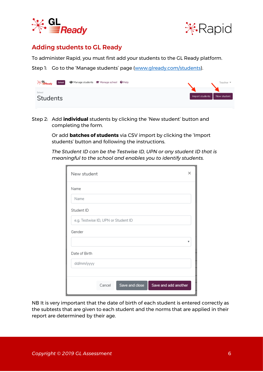



#### <span id="page-5-0"></span>Adding students to GL Ready

To administer Rapid, you must first add your students to the GL Ready platform.

Step 1: Go to the 'Manage students' page ([www.glready.com/students\)](http://www.glready.com/students).



Step 2: Add **individual** students by clicking the 'New student' button and completing the form.

> Or add **batches of students** via CSV import by clicking the 'Import students' button and following the instructions.

*The Student ID can be the Testwise ID, UPN or any student ID that is meaningful to the school and enables you to identify students.* 

| New student                                      | × |
|--------------------------------------------------|---|
| Name                                             |   |
| Name                                             |   |
| Student ID                                       |   |
| e.g. Testwise ID, UPN or Student ID              |   |
| Gender                                           |   |
|                                                  |   |
| Date of Birth                                    |   |
| dd/mm/yyyy                                       |   |
|                                                  |   |
| Save and close<br>Save and add another<br>Cancel |   |

NB It is very important that the date of birth of each student is entered correctly as the subtests that are given to each student and the norms that are applied in their report are determined by their age.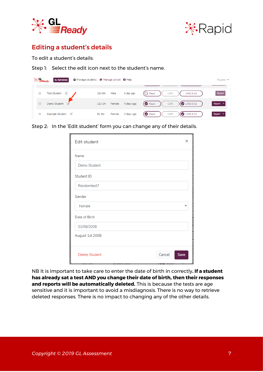



#### <span id="page-6-0"></span>Editing a student's details

To edit a student's details:

Step 1: Select the edit icon next to the student's name.

| $\mathcal{H}$ all Ready | <b>GL Test School</b>               | <b>名 Manage students for Manage school ↓ 日</b> elp |            |                                                | Teacher $\blacktriangleright$ |
|-------------------------|-------------------------------------|----------------------------------------------------|------------|------------------------------------------------|-------------------------------|
|                         |                                     |                                                    |            |                                                |                               |
| U                       | <b>Test Student</b><br>$\mathbb{Z}$ | $10y$ 6m<br>Male                                   | 1 day ago  | $\bigodot$ Rapid<br>CoPS<br><b>LASS 8-11</b>   | Report                        |
|                         | Demo Student                        | Female<br>11y1m                                    | 4 days ago | $\bigcirc$ LASS 8-11<br><b>B</b> Rapid<br>CoPS | Report $\blacktriangleright$  |
|                         | Example Student @                   | Female<br>8y1m                                     | 4 days ago | $\bigcirc$ LASS 8-11<br>CoPS<br>Rapid          | Report $\tau$                 |

Step 2: In the 'Edit student' form you can change any of their details.

| Edit student                                    |        | $\times$ |
|-------------------------------------------------|--------|----------|
| Name                                            |        |          |
| Demo Student                                    |        |          |
| Student ID                                      |        |          |
| Randomtest7                                     |        |          |
| Gender                                          |        |          |
| Female                                          |        |          |
| Date of Birth                                   |        |          |
| 01/08/2008                                      |        |          |
| August 1st 2008                                 |        |          |
| <b>Delete Student</b><br>ivul sel-<br>Fuavs auu | Cancel | Save     |

NB It is important to take care to enter the date of birth in correctly**. If a student has already sat a test AND you change their date of birth, then their responses and reports will be automatically deleted.** This is because the tests are age sensitive and it is important to avoid a misdiagnosis. There is no way to retrieve deleted responses. There is no impact to changing any of the other details.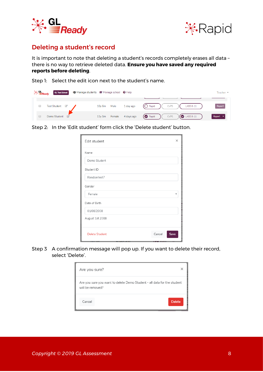



#### <span id="page-7-0"></span>Deleting a student's record

It is important to note that deleting a student's records completely erases all data – there is no way to retrieve deleted data. **Ensure you have saved any required reports before deleting**.

Step 1: Select the edit icon next to the student's name.

| <del>ั</del> ⊁ั้ <del>≣Read</del> y | <b>GL Test School</b> | 2 Manage students r Manage school + Help |                   |                                                             | Teacher $\blacktriangleright$ |
|-------------------------------------|-----------------------|------------------------------------------|-------------------|-------------------------------------------------------------|-------------------------------|
|                                     |                       |                                          |                   |                                                             |                               |
| <b>Test Student</b>                 | ☑                     | Male<br>$10y$ 6m                         | 1 day ago         | $(\bigcirc$ Rapid<br>LASS 8-11<br>CoPS                      | Report                        |
| Demo Student                        | $\sqrt{a}$            | 11y1m                                    | Female 4 days ago | $\bigcirc$ Rapid $\bigcirc$<br>$\bigcirc$ LASS 8-11<br>CoPS | Report $\blacktriangleright$  |

Step 2: In the 'Edit student' form click the 'Delete student' button.

| Edit student          |        | $\times$ |
|-----------------------|--------|----------|
| Name                  |        |          |
| Demo Student          |        |          |
| Student ID            |        |          |
| Randomtest7           |        |          |
| Gender                |        |          |
| Female                |        |          |
| Date of Birth         |        |          |
| 01/08/2008            |        |          |
| August 1st 2008       |        |          |
| <b>Delete Student</b> | Cancel | Save     |

Step 3 A confirmation message will pop up. If you want to delete their record, select 'Delete'.

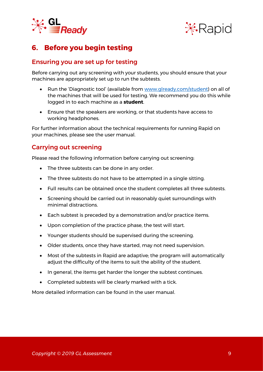



## <span id="page-8-0"></span>**6. Before you begin testing**

#### <span id="page-8-1"></span>Ensuring you are set up for testing

Before carrying out any screening with your students, you should ensure that your machines are appropriately set up to run the subtests.

- Run the 'Diagnostic tool' (available from [www.glready.com/student\)](http://www.glready.com/student) on all of the machines that will be used for testing. We recommend you do this while logged in to each machine as a **student**.
- Ensure that the speakers are working, or that students have access to working headphones.

For further information about the technical requirements for running Rapid on your machines, please see the user manual.

#### <span id="page-8-2"></span>Carrying out screening

Please read the following information before carrying out screening:

- The three subtests can be done in any order.
- The three subtests do not have to be attempted in a single sitting.
- Full results can be obtained once the student completes all three subtests.
- Screening should be carried out in reasonably quiet surroundings with minimal distractions.
- Each subtest is preceded by a demonstration and/or practice items.
- Upon completion of the practice phase, the test will start.
- Younger students should be supervised during the screening.
- Older students, once they have started, may not need supervision.
- Most of the subtests in Rapid are adaptive; the program will automatically adjust the difficulty of the items to suit the ability of the student.
- In general, the items get harder the longer the subtest continues.
- Completed subtests will be clearly marked with a tick.

More detailed information can be found in the user manual.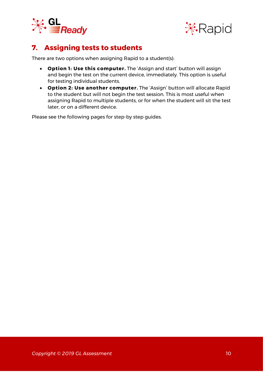



## <span id="page-9-0"></span>**7. Assigning tests to students**

There are two options when assigning Rapid to a student(s):

- **Option 1: Use this computer.** The 'Assign and start' button will assign and begin the test on the current device, immediately. This option is useful for testing individual students.
- **Option 2: Use another computer.** The 'Assign' button will allocate Rapid to the student but will not begin the test session. This is most useful when assigning Rapid to multiple students, or for when the student will sit the test later, or on a different device.

Please see the following pages for step-by step guides.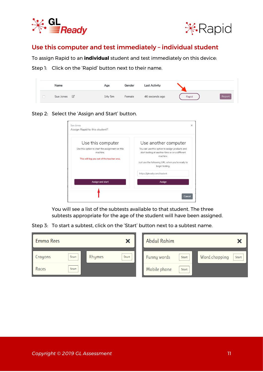



#### <span id="page-10-0"></span>Use this computer and test immediately – individual student

To assign Rapid to an **individual** student and test immediately on this device:

Step 1: Click on the 'Rapid' button next to their name.

| Name                     | Age    | Gender | <b>Last Activity</b> |       |        |
|--------------------------|--------|--------|----------------------|-------|--------|
| $\boxtimes$<br>Sue Jones | 14y 5m | Female | 46 seconds ago       | Rapid | Report |

Step 2: Select the 'Assign and Start' button.

| Sue Jones<br>Assign Rapid to this student?                                                                                     | $\times$                                                                                                                                                                                                   |
|--------------------------------------------------------------------------------------------------------------------------------|------------------------------------------------------------------------------------------------------------------------------------------------------------------------------------------------------------|
| Use this computer<br>Use this option to start the assignment on this<br>machine.<br>This will log you out of the teacher area. | Use another computer<br>You can use this option to assign products and<br>start testing at another time or on a different<br>machine.<br>Just use the following URL when you're ready to<br>begin testing. |
| Assign and start                                                                                                               | https://glready.com/student<br>Assign<br>Cance                                                                                                                                                             |

You will see a list of the subtests available to that student. The three subtests appropriate for the age of the student will have been assigned.

Step 3: To start a subtest, click on the 'Start' button next to a subtest name.

| Emma Rees |       |        | ×     | <b>Abdul Rahim</b> |       |                        |
|-----------|-------|--------|-------|--------------------|-------|------------------------|
| Crayons   | Start | Rhymes | Start | <b>Funny words</b> | Start | Word chopping<br>Start |
| Races     | Start |        |       | Mobile phone       | Start |                        |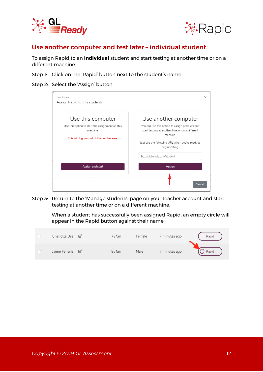



#### <span id="page-11-0"></span>Use another computer and test later – individual student

To assign Rapid to an **individual** student and start testing at another time or on a different machine.

- Step 1: Click on the 'Rapid' button next to the student's name.
- Step 2: Select the 'Assign' button.

| Sue Jones<br>Assign Rapid to this student?                                                                                     | ×                                                                                                                                                                                                          |
|--------------------------------------------------------------------------------------------------------------------------------|------------------------------------------------------------------------------------------------------------------------------------------------------------------------------------------------------------|
| Use this computer<br>Use this option to start the assignment on this<br>machine.<br>This will log you out of the teacher area. | Use another computer<br>You can use this option to assign products and<br>start testing at another time or on a different<br>machine.<br>Just use the following URL when you're ready to<br>begin testing. |
| Assign and start                                                                                                               | https://glready.com/student<br>Assign<br>Cancel                                                                                                                                                            |

Step 3: Return to the 'Manage students' page on your teacher account and start testing at another time or on a different machine.

> When a student has successfully been assigned Rapid, an empty circle will appear in the Rapid button against their name.

| <b>Charlotte Bee</b> | $\sqrt{a}$   | $7y$ 5 $m$       | Female | 7 minutes ago | Rapid |
|----------------------|--------------|------------------|--------|---------------|-------|
| Jaime Ferraris       | $\mathbb{Z}$ | 8y <sub>5m</sub> | Male   | 7 minutes ago | Rapid |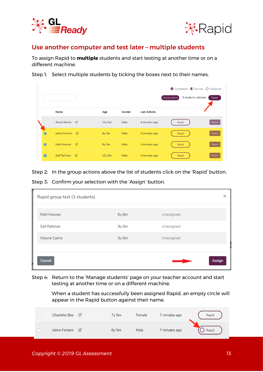



#### <span id="page-12-0"></span>Use another computer and test later – multiple students

To assign Rapid to **multiple** students and start testing at another time or on a different machine.

Step 1: Select multiple students by ticking the boxes next to their names.

|                       |                             |                          |                   |        |                      | <b>O</b> Completed <b>①</b> Started ○ Assigned |        |
|-----------------------|-----------------------------|--------------------------|-------------------|--------|----------------------|------------------------------------------------|--------|
|                       |                             |                          |                   |        |                      | 3 students selected<br>Group actions           | Rapid  |
|                       |                             |                          |                   |        |                      |                                                |        |
|                       | Name                        |                          | Age               | Gender | <b>Last Activity</b> |                                                |        |
|                       | Abdul Rahim                 | $\Box$                   | 10y <sub>5m</sub> | Male   | 4 minutes ago        | Rapid                                          | Report |
| $\overline{a}$        | Jaime Ferraris <sup>2</sup> |                          | 8y <sub>5m</sub>  | Male   | 4 minutes ago        | Rapid                                          | Report |
| $\overline{a}$        | Matt Howser                 | $\overline{\mathbb{C}}$  | 6y 5m             | Male   | 4 minutes ago        | Rapid                                          | Report |
| $\boldsymbol{\varpi}$ | Saif Rahman                 | $\overline{\mathscr{Q}}$ | $12y$ 5m          | Male   | 4 minutes ago        | Rapid                                          | Report |

Step 2: In the group actions above the list of students click on the 'Rapid' button.

Step 3: Confirm your selection with the 'Assign' button.

| Rapid group test (3 students) |         |            | ×      |
|-------------------------------|---------|------------|--------|
| Matt Howser                   | 6y 8m   | Unassigned |        |
| Saif Rahman                   | $9y$ 8m | Unassigned |        |
| Wayne Cairns                  | 9y 8m   | Unassigned |        |
| Cancel                        |         |            | Assign |

Step 4: Return to the 'Manage students' page on your teacher account and start testing at another time or on a different machine.

> When a student has successfully been assigned Rapid, an empty circle will appear in the Rapid button against their name.

| <b>Charlotte Bee</b> | ☑           | 7y 5m            | Female | 7 minutes ago | Rapid |
|----------------------|-------------|------------------|--------|---------------|-------|
| Jaime Ferraris       | $\boxtimes$ | 8y <sub>5m</sub> | Male   | 7 minutes ago | Rapid |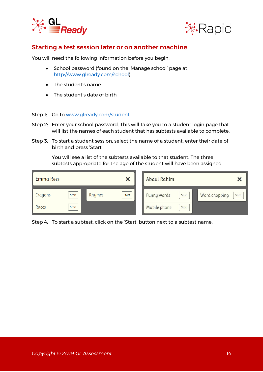



#### <span id="page-13-0"></span>Starting a test session later or on another machine

You will need the following information before you begin:

- School password (found on the 'Manage school' page at [http://www.glready.com/school\)](http://www.glready.com/school)
- The student's name
- The student's date of birth
- Step 1: Go to [www.glready.com/student](http://www.glready.com/student)
- Step 2: Enter your school password. This will take you to a student login page that will list the names of each student that has subtests available to complete.
- Step 3: To start a student session, select the name of a student, enter their date of birth and press 'Start'.

You will see a list of the subtests available to that student. The three subtests appropriate for the age of the student will have been assigned.

| Emma Rees |       |        | $\boldsymbol{\mathsf{x}}$ | <b>Abdul Rahim</b> |       |                        |
|-----------|-------|--------|---------------------------|--------------------|-------|------------------------|
| Crayons   | Start | Rhymes | Start                     | <b>Funny words</b> | Start | Word chopping<br>Start |
| Races     | Start |        |                           | Mobile phone       | Start |                        |

Step 4: To start a subtest, click on the 'Start' button next to a subtest name.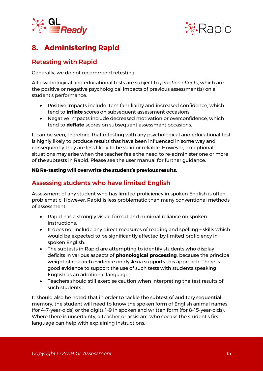



## <span id="page-14-0"></span>**8. Administering Rapid**

### <span id="page-14-1"></span>Retesting with Rapid

Generally, we do not recommend retesting.

All psychological and educational tests are subject to *practice effects*, which are the positive or negative psychological impacts of previous assessment(s) on a student's performance.

- Positive impacts include item familiarity and increased confidence, which tend to **inflate** scores on subsequent assessment occasions.
- Negative impacts include decreased motivation or overconfidence, which tend to **deflate** scores on subsequent assessment occasions.

It can be seen, therefore, that retesting with any psychological and educational test is highly likely to produce results that have been influenced in some way and consequently they are less likely to be valid or reliable. However, exceptional situations may arise when the teacher feels the need to re-administer one or more of the subtests in Rapid. Please see the user manual for further guidance.

#### **NB Re-testing will overwrite the student's previous results.**

#### <span id="page-14-2"></span>Assessing students who have limited English

Assessment of any student who has limited proficiency in spoken English is often problematic. However, Rapid is less problematic than many conventional methods of assessment.

- Rapid has a strongly visual format and minimal reliance on spoken instructions.
- It does not include any direct measures of reading and spelling skills which would be expected to be significantly affected by limited proficiency in spoken English.
- The subtests in Rapid are attempting to identify students who display deficits in various aspects of **phonological processing**, because the principal weight of research evidence on dyslexia supports this approach. There is good evidence to support the use of such tests with students speaking English as an additional language.
- Teachers should still exercise caution when interpreting the test results of such students.

It should also be noted that in order to tackle the subtest of auditory sequential memory, the student will need to know the spoken form of English animal names (for 4–7-year-olds) or the digits 1–9 in spoken and written form (for 8–15-year-olds). Where there is uncertainty, a teacher or assistant who speaks the student's first language can help with explaining instructions.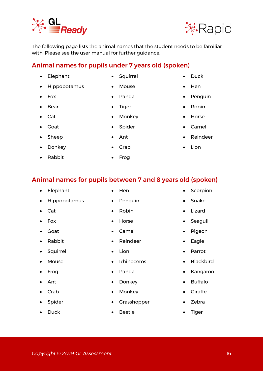#### The following page lists the animal names that the student needs to be familiar with. Please see the user manual for further guidance.

• Squirrel

• Panda

• Tiger

• Mouse

## <span id="page-15-0"></span>Animal names for pupils under 7 years old (spoken)

- Elephant
- Hippopotamus
- Fox
- Bear
- Cat
- Goat
- Sheep
- Donkey
- Rabbit

## <span id="page-15-1"></span>Animal names for pupils between 7 and 8 years old (spoken)

- Elephant
- Hippopotamus
- Cat
- Fox
- Goat
- Rabbit
- Squirrel
- Mouse
- Frog
- Ant
- Crab
- **Spider**
- Duck
- Hen
- Penguin
- Robin
- Horse
- Camel
- Reindeer
- Lion
- Rhinoceros
- Panda
- Donkey
- Monkey
- **Grasshopper**
- Beetle
- **Scorpion**
- Snake
- Lizard
- Seagull
- Pigeon
- Eagle
- Parrot
- Blackbird
- Kangaroo
- Buffalo
- **Giraffe**
- Zebra
- Tiger

- 
- Monkey
- Spider
- Ant

• Frog

• Crab





• Duck

• Hen

• Robin

• Horse

• Camel

• Lion

• Reindeer

**Penguin**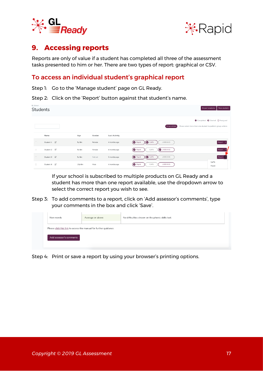



### <span id="page-16-0"></span>**9. Accessing reports**

Reports are only of value if a student has completed all three of the assessment tasks presented to him or her. There are two types of report: graphical or CSV.

#### <span id="page-16-1"></span>To access an individual student's graphical report

Step 1: Go to the 'Manage student' page on GL Ready.

Step 2: Click on the 'Report' button against that student's name.

| GL School<br>Students |             |                  |         |                      | Import students<br>New student                                                                                  |
|-----------------------|-------------|------------------|---------|----------------------|-----------------------------------------------------------------------------------------------------------------|
|                       |             |                  |         |                      | Completed C Started O Assigned<br>Please select more than one student to perform group actions<br>Group actions |
|                       | Name        | Age              | Gender  | <b>Last Activity</b> |                                                                                                                 |
| $\Box$                | Student 1 図 | $5y$ 8 $m$       | Female  | 4 months ago         | LASS 8-11<br>CoPS<br>(ഗ<br>Report +<br>$\omega$<br>Rapid                                                        |
| $\Box$                | Student 2 図 | $9y$ 8m          | Female  | 4 months ago         | $\bigcirc$ LASS 8-11<br>CoPS<br><b>B</b> Rapid<br>Report +                                                      |
| $\Box$                | Student 3   | 5y <sub>8m</sub> | Not set | 5 months ago         | <b>O</b> Rapid<br>LASS 8-11<br>$\omega$ cops<br>Report                                                          |
| $\hfill \Box$         | Student 4   | $10y$ 6m         | Male    | 4 months ago         | CoPS<br>Rapid<br>CoPS<br>LASS 8-11<br>Rapid                                                                     |

If your school is subscribed to multiple products on GL Ready and a student has more than one report available, use the dropdown arrow to select the correct report you wish to see.

Step 3: To add comments to a report, click on 'Add assessor's comments', type your comments in the box and click 'Save'.

| Non-words                                                         | Average or above | No difficulties shown on the phonic skills test. |
|-------------------------------------------------------------------|------------------|--------------------------------------------------|
| Please click this link to access the manual for further guidance. |                  |                                                  |
| Add assessor's comments                                           |                  |                                                  |
|                                                                   |                  |                                                  |

Step 4: Print or save a report by using your browser's printing options.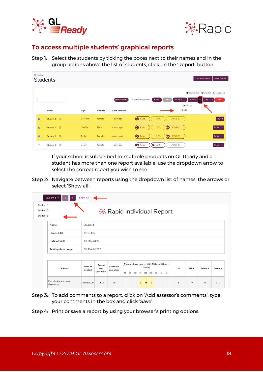



#### <span id="page-17-0"></span>To access multiple students' graphical reports

Step 1: Select the students by ticking the boxes next to their names and in the group actions above the list of students, click on the 'Report' button.

| GL Academy     | <b>Students</b>           |            |        |                      | Import students<br>New student                                                                                                           |
|----------------|---------------------------|------------|--------|----------------------|------------------------------------------------------------------------------------------------------------------------------------------|
|                |                           |            |        | Group actions        | Completed C Started O Assigned<br>LASS 8-11<br>Delete<br>3 students selected<br>Rapid<br>CoPS<br>Report<br><b>CSV</b><br>۰.<br>LASS 8-11 |
|                | Name                      | Age        | Gender | <b>Last Activity</b> | Rapid                                                                                                                                    |
| $\blacksquare$ | Student 1 2               | 14y 10m    | Female | 4 days ago           | LASS 8-11<br>Rapid<br>CoPS<br>Report                                                                                                     |
| $\blacksquare$ | Student 2                 | $10y$ 7m   | Male   | 4 days ago           | $\bigcirc$ LASS 8-11<br>Rapid<br>CoPS<br>Report *                                                                                        |
| $\blacksquare$ | Student 3 2               | $8y$ 2m    | Female | 4 days ago           | $\bigcirc$ LASS 8-11<br>Rapid<br>CoPS<br>Report *                                                                                        |
| $\Box$         | $\mathbb{Z}$<br>Student 4 | $7y$ 3 $m$ | Female | 4 days ago           | Rapid<br>CoPS<br>LASS 8-11<br>Report                                                                                                     |

If your school is subscribed to multiple products on GL Ready and a student has more than one report available, use the dropdown arrow to select the correct report you wish to see.

Step 2: Navigate between reports using the dropdown list of names, the arrows or select 'Show all'.

| Student 1<br>Student 2<br>Student 3 | Student 1 *<br>᠈                      | Show All           |                              |                       | <b><del></del> <del></del>  K</b> . Rapid Individual Report                                                                                |  |  |  |  |  |
|-------------------------------------|---------------------------------------|--------------------|------------------------------|-----------------------|--------------------------------------------------------------------------------------------------------------------------------------------|--|--|--|--|--|
|                                     | Name                                  | Student 1          |                              |                       |                                                                                                                                            |  |  |  |  |  |
|                                     | Student ID                            | JB123456           |                              |                       |                                                                                                                                            |  |  |  |  |  |
|                                     | Date of birth                         | 1st May 2005       |                              |                       |                                                                                                                                            |  |  |  |  |  |
|                                     | Testing date range                    | 5th March 2020     |                              |                       |                                                                                                                                            |  |  |  |  |  |
|                                     |                                       |                    |                              |                       |                                                                                                                                            |  |  |  |  |  |
|                                     | Subtest                               | Date of<br>subtest | Age at<br>test<br>(yrs:mths) | Standard<br>age score | Standard age score (with 90% confidence<br>bands)<br>ST<br><b>NPR</b><br>Z-score<br>T-score<br>60<br>100 110 120 130 140<br>70<br>80<br>90 |  |  |  |  |  |
|                                     | Phonological processing<br>(Segments) | 05/03/2020         | 14:10                        | 99                    | 5<br>47<br>49<br>$-0.07$                                                                                                                   |  |  |  |  |  |

- Step 3: To add comments to a report, click on 'Add assessor's comments', type your comments in the box and click 'Save'.
- <span id="page-17-1"></span>Step 4: Print or save a report by using your browser's printing options.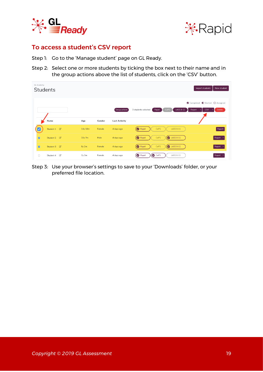



#### To access a student's CSV report

Step 1: Go to the 'Manage student' page on GL Ready.

Step 2: Select one or more students by ticking the box next to their name and in the group actions above the list of students, click on the 'CSV' button.

| GL Academy<br><b>Students</b> |                           |          |        |                      | New student<br>Import students                                                                                             |
|-------------------------------|---------------------------|----------|--------|----------------------|----------------------------------------------------------------------------------------------------------------------------|
|                               |                           |          |        | Group actions        | Completed C Started O Assigned<br>3 students selected<br>CoPS<br>LASS 8-11<br>Rapid<br><b>Delete</b><br>Report<br>CSV<br>÷ |
|                               | Name                      | Age      | Gender | <b>Last Activity</b> |                                                                                                                            |
| ✓                             | Student 1 2               | 14y 10m  | Female | 4 days ago           | <b>LASS 8-11</b><br>CoPS<br>◙<br>Report<br>Rapid                                                                           |
| $\overline{a}$                | Student 2 2               | $10y$ 7m | Male   | 4 days ago           | $\bigcirc$ LASS 8-11<br>Rapid<br>CoPS<br>Report -                                                                          |
| $\overline{a}$                | Student 3 図               | 8y 2m    | Female | 4 days ago           | <b>2</b> LASS 8-11<br>CoPS<br>Rapid<br>Report                                                                              |
| $\Box$                        | $\mathbb{Z}$<br>Student 4 | 7y 3m    | Female | 4 days ago           | C <sub>oPS</sub><br>LASS 8-11<br>Rapid<br>Report                                                                           |

Step 3: Use your browser's settings to save to your 'Downloads' folder, or your preferred file location.